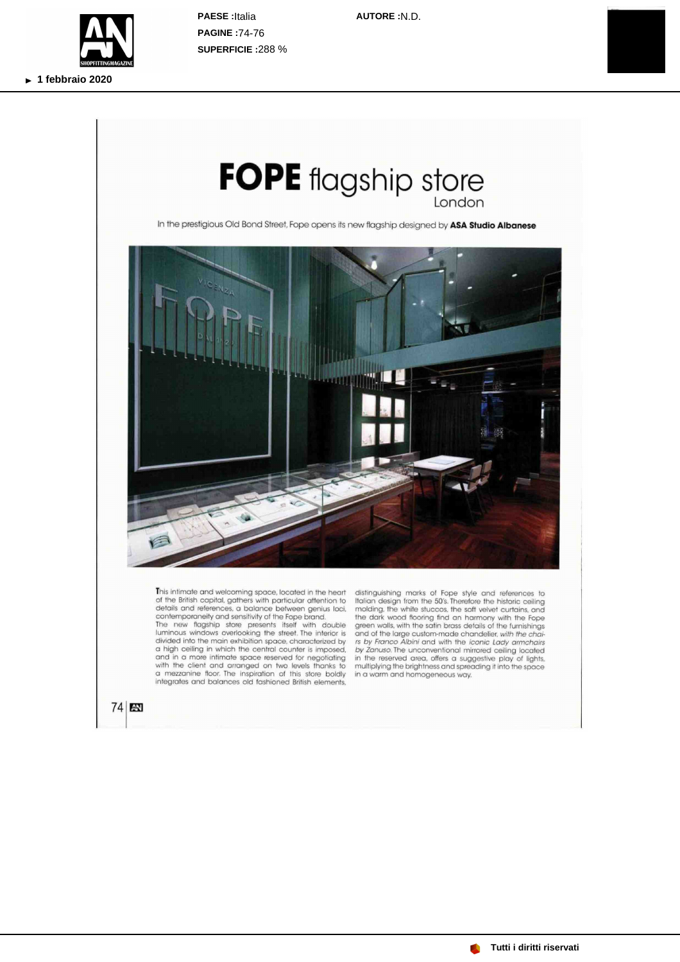

**AUTORE :** N.D.





**Tutti i diritti riservati**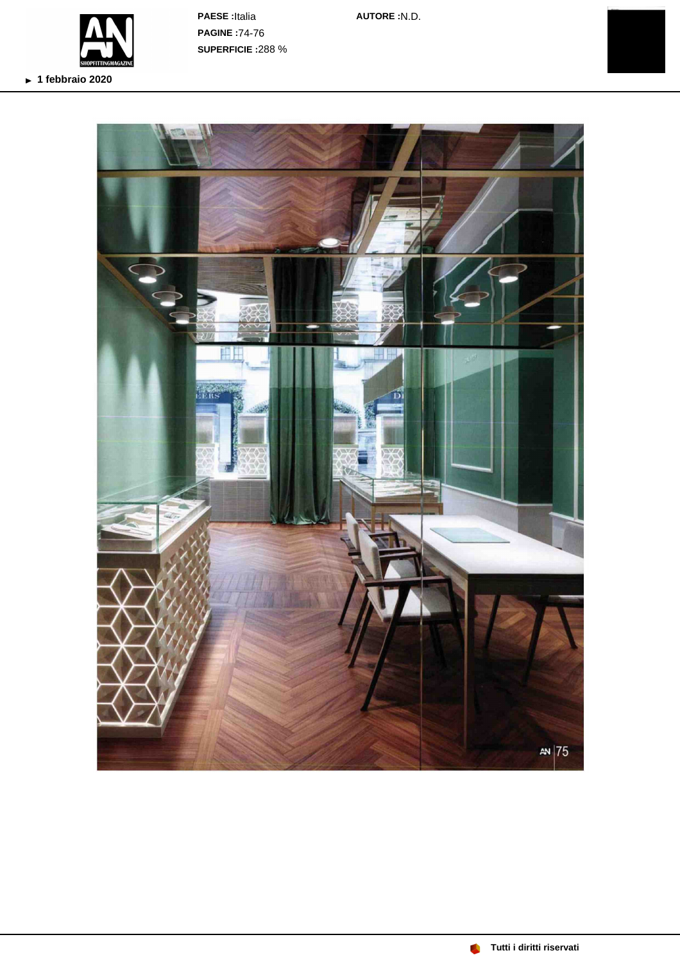

**AUTORE :** N.D.



**1 febbraio 2020**